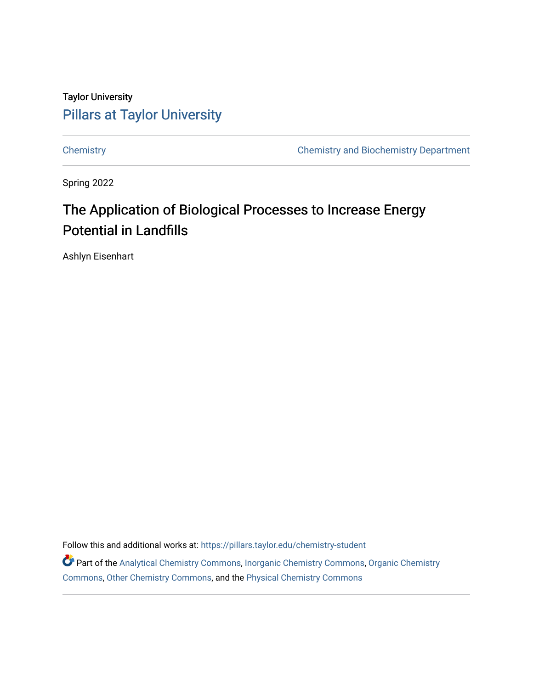# Taylor University [Pillars at Taylor University](https://pillars.taylor.edu/)

[Chemistry](https://pillars.taylor.edu/chemistry-student) [Chemistry and Biochemistry Department](https://pillars.taylor.edu/chemistry) 

Spring 2022

# The Application of Biological Processes to Increase Energy Potential in Landfills

Ashlyn Eisenhart

Follow this and additional works at: [https://pillars.taylor.edu/chemistry-student](https://pillars.taylor.edu/chemistry-student?utm_source=pillars.taylor.edu%2Fchemistry-student%2F26&utm_medium=PDF&utm_campaign=PDFCoverPages) 

Part of the [Analytical Chemistry Commons,](https://network.bepress.com/hgg/discipline/132?utm_source=pillars.taylor.edu%2Fchemistry-student%2F26&utm_medium=PDF&utm_campaign=PDFCoverPages) [Inorganic Chemistry Commons,](https://network.bepress.com/hgg/discipline/137?utm_source=pillars.taylor.edu%2Fchemistry-student%2F26&utm_medium=PDF&utm_campaign=PDFCoverPages) [Organic Chemistry](https://network.bepress.com/hgg/discipline/138?utm_source=pillars.taylor.edu%2Fchemistry-student%2F26&utm_medium=PDF&utm_campaign=PDFCoverPages) [Commons](https://network.bepress.com/hgg/discipline/138?utm_source=pillars.taylor.edu%2Fchemistry-student%2F26&utm_medium=PDF&utm_campaign=PDFCoverPages), [Other Chemistry Commons](https://network.bepress.com/hgg/discipline/141?utm_source=pillars.taylor.edu%2Fchemistry-student%2F26&utm_medium=PDF&utm_campaign=PDFCoverPages), and the [Physical Chemistry Commons](https://network.bepress.com/hgg/discipline/139?utm_source=pillars.taylor.edu%2Fchemistry-student%2F26&utm_medium=PDF&utm_campaign=PDFCoverPages)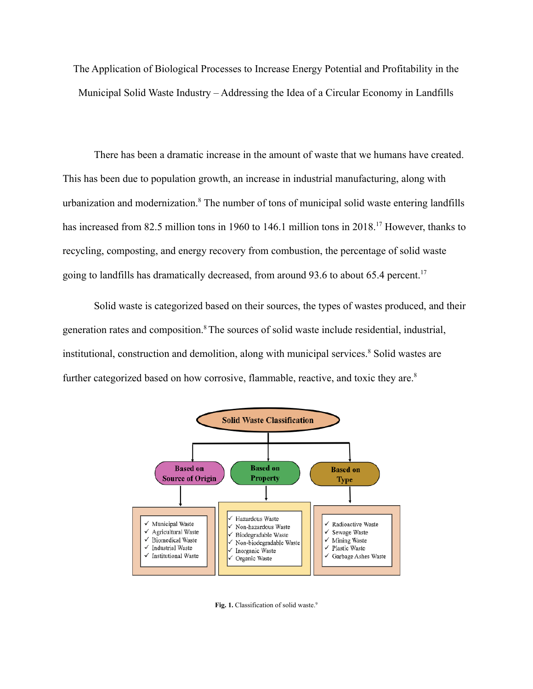The Application of Biological Processes to Increase Energy Potential and Profitability in the Municipal Solid Waste Industry – Addressing the Idea of a Circular Economy in Landfills

There has been a dramatic increase in the amount of waste that we humans have created. This has been due to population growth, an increase in industrial manufacturing, along with urbanization and modernization.<sup>8</sup> The number of tons of municipal solid waste entering landfills has increased from 82.5 million tons in 1960 to 146.1 million tons in 2018.<sup>17</sup> However, thanks to recycling, composting, and energy recovery from combustion, the percentage of solid waste going to landfills has dramatically decreased, from around 93.6 to about 65.4 percent.<sup>17</sup>

Solid waste is categorized based on their sources, the types of wastes produced, and their generation rates and composition.<sup>8</sup>The sources of solid waste include residential, industrial, institutional, construction and demolition, along with municipal services.<sup>8</sup> Solid wastes are further categorized based on how corrosive, flammable, reactive, and toxic they are.<sup>8</sup>



**Fig. 1.** Classification of solid waste. 9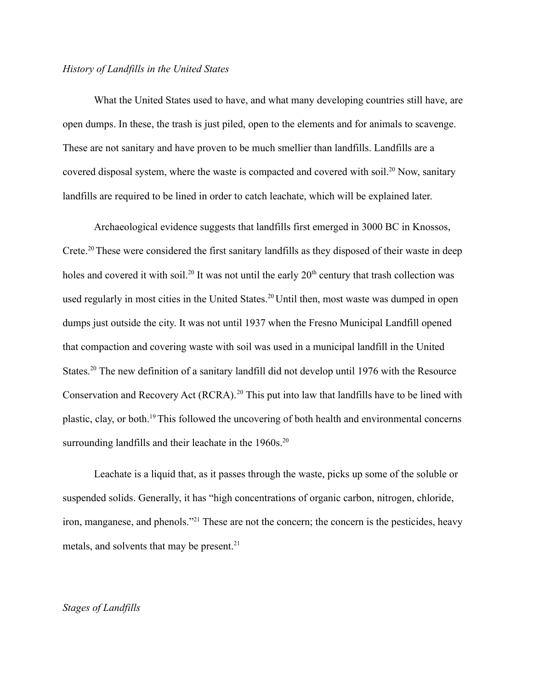#### *History of Landfills in the United States*

What the United States used to have, and what many developing countries still have, are open dumps. In these, the trash is just piled, open to the elements and for animals to scavenge. These are not sanitary and have proven to be much smellier than landfills. Landfills are a covered disposal system, where the waste is compacted and covered with soil.<sup>20</sup> Now, sanitary landfills are required to be lined in order to catch leachate, which will be explained later.

Archaeological evidence suggests that landfills first emerged in 3000 BC in Knossos, Crete.<sup>20</sup> These were considered the first sanitary landfills as they disposed of their waste in deep holes and covered it with soil.<sup>20</sup> It was not until the early  $20<sup>th</sup>$  century that trash collection was used regularly in most cities in the United States.<sup>20</sup> Until then, most waste was dumped in open dumps just outside the city. It was not until 1937 when the Fresno Municipal Landfill opened that compaction and covering waste with soil was used in a municipal landfill in the United States.<sup>20</sup> The new definition of a sanitary landfill did not develop until 1976 with the Resource Conservation and Recovery Act (RCRA).<sup>20</sup> This put into law that landfills have to be lined with plastic, clay, or both.<sup>19</sup>This followed the uncovering of both health and environmental concerns surrounding landfills and their leachate in the  $1960s$ .<sup>20</sup>

Leachate is a liquid that, as it passes through the waste, picks up some of the soluble or suspended solids. Generally, it has "high concentrations of organic carbon, nitrogen, chloride, iron, manganese, and phenols."<sup>21</sup> These are not the concern; the concern is the pesticides, heavy metals, and solvents that may be present.<sup>21</sup>

## *Stages of Landfills*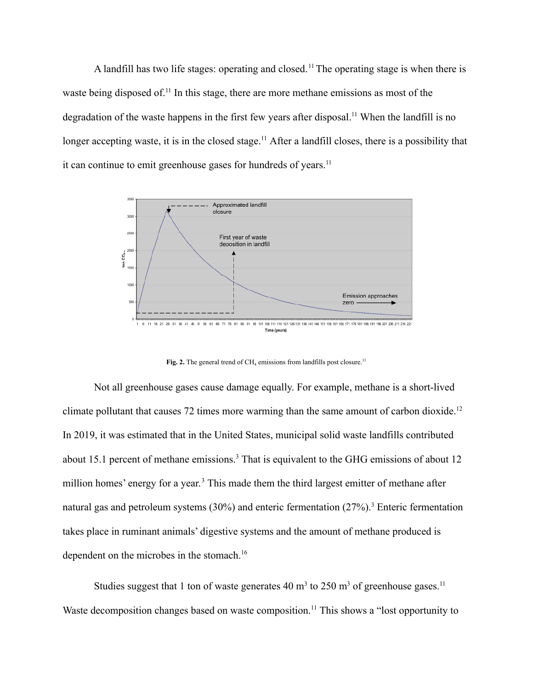A landfill has two life stages: operating and closed.<sup>11</sup> The operating stage is when there is waste being disposed of.<sup>11</sup> In this stage, there are more methane emissions as most of the degradation of the waste happens in the first few years after disposal.<sup>11</sup> When the landfill is no longer accepting waste, it is in the closed stage.<sup>11</sup> After a landfill closes, there is a possibility that it can continue to emit greenhouse gases for hundreds of years.<sup>11</sup>



Fig. 2. The general trend of  $CH_4$  emissions from landfills post closure.<sup>11</sup>

Not all greenhouse gases cause damage equally. For example, methane is a short-lived climate pollutant that causes 72 times more warming than the same amount of carbon dioxide.<sup>12</sup> In 2019, it was estimated that in the United States, municipal solid waste landfills contributed about 15.1 percent of methane emissions.<sup>3</sup> That is equivalent to the GHG emissions of about 12 million homes' energy for a year.<sup>3</sup> This made them the third largest emitter of methane after natural gas and petroleum systems  $(30\%)$  and enteric fermentation  $(27\%)$ .<sup>3</sup> Enteric fermentation takes place in ruminant animals' digestive systems and the amount of methane produced is dependent on the microbes in the stomach.<sup>16</sup>

Studies suggest that 1 ton of waste generates 40  $m<sup>3</sup>$  to 250  $m<sup>3</sup>$  of greenhouse gases.<sup>11</sup> Waste decomposition changes based on waste composition.<sup>11</sup> This shows a "lost opportunity to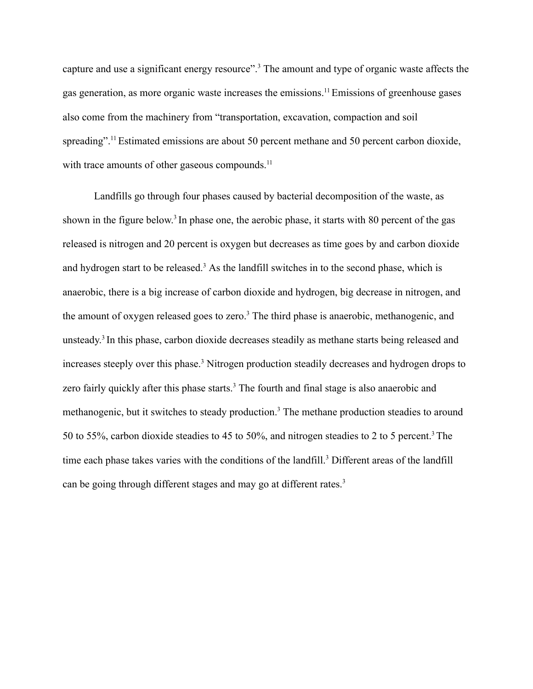capture and use a significant energy resource".<sup>3</sup> The amount and type of organic waste affects the gas generation, as more organic waste increases the emissions.<sup>11</sup>Emissions of greenhouse gases also come from the machinery from "transportation, excavation, compaction and soil spreading".<sup>11</sup> Estimated emissions are about 50 percent methane and 50 percent carbon dioxide, with trace amounts of other gaseous compounds.<sup>11</sup>

Landfills go through four phases caused by bacterial decomposition of the waste, as shown in the figure below.<sup>3</sup> In phase one, the aerobic phase, it starts with 80 percent of the gas released is nitrogen and 20 percent is oxygen but decreases as time goes by and carbon dioxide and hydrogen start to be released.<sup>3</sup> As the landfill switches in to the second phase, which is anaerobic, there is a big increase of carbon dioxide and hydrogen, big decrease in nitrogen, and the amount of oxygen released goes to zero.<sup>3</sup> The third phase is anaerobic, methanogenic, and unsteady. 3 In this phase, carbon dioxide decreases steadily as methane starts being released and increases steeply over this phase.<sup>3</sup> Nitrogen production steadily decreases and hydrogen drops to zero fairly quickly after this phase starts.<sup>3</sup> The fourth and final stage is also anaerobic and methanogenic, but it switches to steady production.<sup>3</sup> The methane production steadies to around 50 to 55%, carbon dioxide steadies to 45 to 50%, and nitrogen steadies to 2 to 5 percent.<sup>3</sup> The time each phase takes varies with the conditions of the landfill.<sup>3</sup> Different areas of the landfill can be going through different stages and may go at different rates.<sup>3</sup>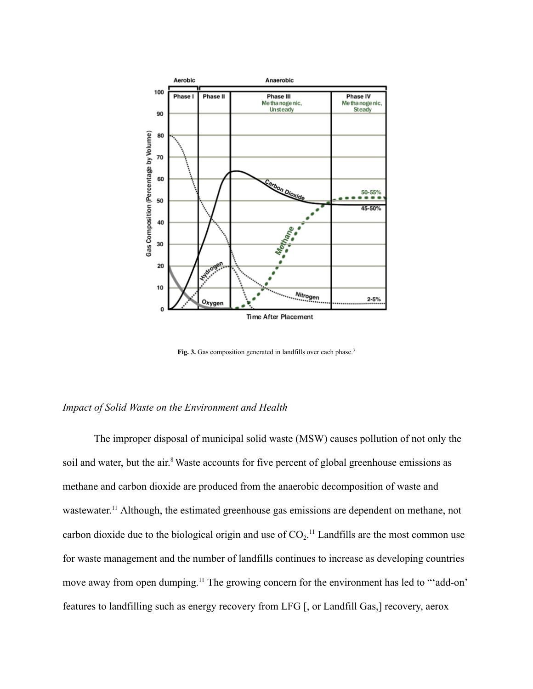

**Fig. 3.** Gas composition generated in landfills over each phase. 3

#### *Impact of Solid Waste on the Environment and Health*

The improper disposal of municipal solid waste (MSW) causes pollution of not only the soil and water, but the air.<sup>8</sup> Waste accounts for five percent of global greenhouse emissions as methane and carbon dioxide are produced from the anaerobic decomposition of waste and wastewater.<sup>11</sup> Although, the estimated greenhouse gas emissions are dependent on methane, not carbon dioxide due to the biological origin and use of  $CO_2$ .<sup>11</sup> Landfills are the most common use for waste management and the number of landfills continues to increase as developing countries move away from open dumping.<sup>11</sup> The growing concern for the environment has led to "'add-on' features to landfilling such as energy recovery from LFG [, or Landfill Gas,] recovery, aerox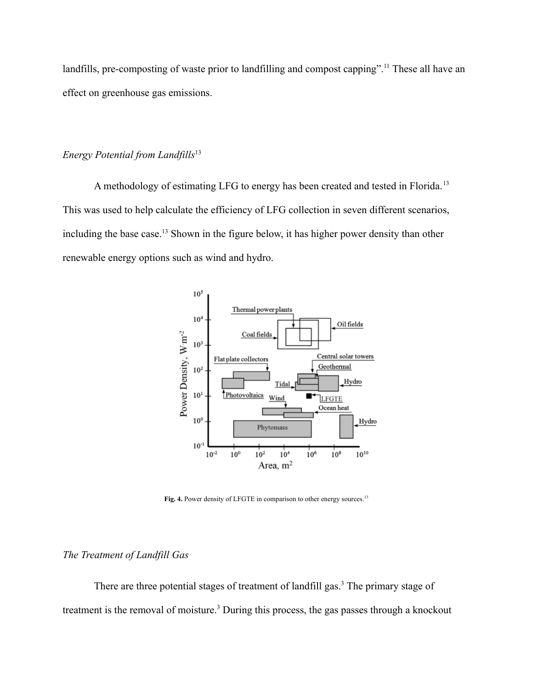landfills, pre-composting of waste prior to landfilling and compost capping".<sup>11</sup> These all have an effect on greenhouse gas emissions.

# *Energy Potential from Landfills*<sup>13</sup>

A methodology of estimating LFG to energy has been created and tested in Florida.<sup>13</sup> This was used to help calculate the efficiency of LFG collection in seven different scenarios, including the base case.<sup>13</sup> Shown in the figure below, it has higher power density than other renewable energy options such as wind and hydro.



**Fig. 4.** Power density of LFGTE in comparison to other energy sources. 13

# *The Treatment of Landfill Gas*

There are three potential stages of treatment of landfill gas.<sup>3</sup> The primary stage of treatment is the removal of moisture.<sup>3</sup> During this process, the gas passes through a knockout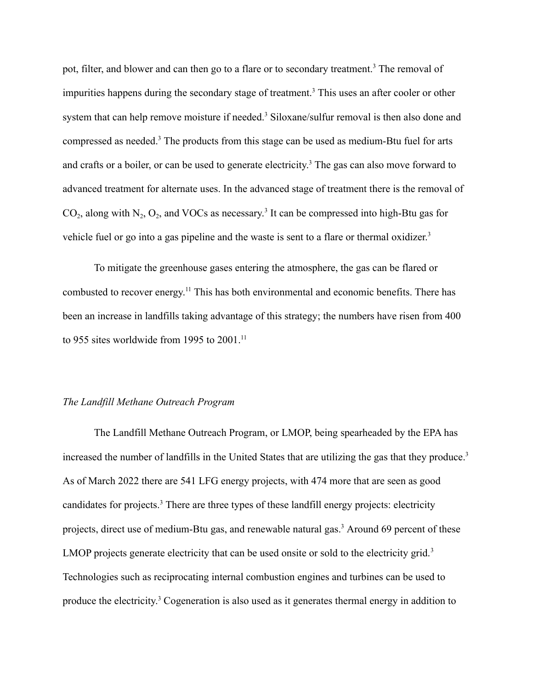pot, filter, and blower and can then go to a flare or to secondary treatment.<sup>3</sup> The removal of impurities happens during the secondary stage of treatment.<sup>3</sup> This uses an after cooler or other system that can help remove moisture if needed.<sup>3</sup> Siloxane/sulfur removal is then also done and compressed as needed.<sup>3</sup> The products from this stage can be used as medium-Btu fuel for arts and crafts or a boiler, or can be used to generate electricity. <sup>3</sup> The gas can also move forward to advanced treatment for alternate uses. In the advanced stage of treatment there is the removal of  $CO_2$ , along with  $N_2$ ,  $O_2$ , and VOCs as necessary.<sup>3</sup> It can be compressed into high-Btu gas for vehicle fuel or go into a gas pipeline and the waste is sent to a flare or thermal oxidizer.<sup>3</sup>

To mitigate the greenhouse gases entering the atmosphere, the gas can be flared or combusted to recover energy.<sup>11</sup> This has both environmental and economic benefits. There has been an increase in landfills taking advantage of this strategy; the numbers have risen from 400 to 955 sites worldwide from 1995 to  $2001$ .<sup>11</sup>

#### *The Landfill Methane Outreach Program*

The Landfill Methane Outreach Program, or LMOP, being spearheaded by the EPA has increased the number of landfills in the United States that are utilizing the gas that they produce.<sup>3</sup> As of March 2022 there are 541 LFG energy projects, with 474 more that are seen as good candidates for projects.<sup>3</sup> There are three types of these landfill energy projects: electricity projects, direct use of medium-Btu gas, and renewable natural gas.<sup>3</sup> Around 69 percent of these LMOP projects generate electricity that can be used onsite or sold to the electricity grid.<sup>3</sup> Technologies such as reciprocating internal combustion engines and turbines can be used to produce the electricity. <sup>3</sup> Cogeneration is also used as it generates thermal energy in addition to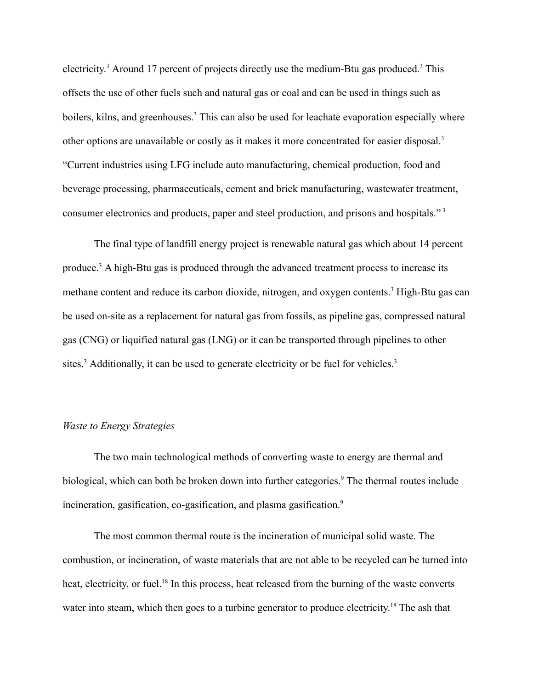electricity.<sup>3</sup> Around 17 percent of projects directly use the medium-Btu gas produced.<sup>3</sup> This offsets the use of other fuels such and natural gas or coal and can be used in things such as boilers, kilns, and greenhouses.<sup>3</sup> This can also be used for leachate evaporation especially where other options are unavailable or costly as it makes it more concentrated for easier disposal.<sup>3</sup> "Current industries using LFG include auto manufacturing, chemical production, food and beverage processing, pharmaceuticals, cement and brick manufacturing, wastewater treatment, consumer electronics and products, paper and steel production, and prisons and hospitals."<sup>3</sup>

The final type of landfill energy project is renewable natural gas which about 14 percent produce.<sup>3</sup> A high-Btu gas is produced through the advanced treatment process to increase its methane content and reduce its carbon dioxide, nitrogen, and oxygen contents.<sup>3</sup> High-Btu gas can be used on-site as a replacement for natural gas from fossils, as pipeline gas, compressed natural gas (CNG) or liquified natural gas (LNG) or it can be transported through pipelines to other sites.<sup>3</sup> Additionally, it can be used to generate electricity or be fuel for vehicles.<sup>3</sup>

## *Waste to Energy Strategies*

The two main technological methods of converting waste to energy are thermal and biological, which can both be broken down into further categories.<sup>9</sup> The thermal routes include incineration, gasification, co-gasification, and plasma gasification.<sup>9</sup>

The most common thermal route is the incineration of municipal solid waste. The combustion, or incineration, of waste materials that are not able to be recycled can be turned into heat, electricity, or fuel.<sup>18</sup> In this process, heat released from the burning of the waste converts water into steam, which then goes to a turbine generator to produce electricity.<sup>18</sup> The ash that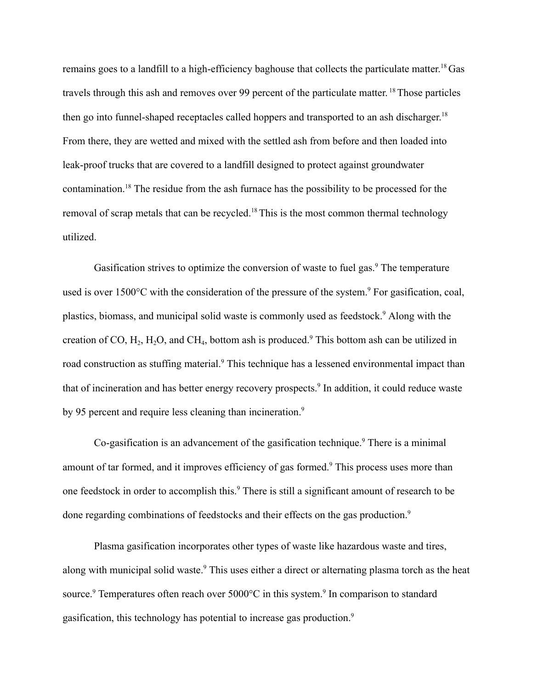remains goes to a landfill to a high-efficiency baghouse that collects the particulate matter.<sup>18</sup> Gas travels through this ash and removes over 99 percent of the particulate matter. <sup>18</sup>Those particles then go into funnel-shaped receptacles called hoppers and transported to an ash discharger.<sup>18</sup> From there, they are wetted and mixed with the settled ash from before and then loaded into leak-proof trucks that are covered to a landfill designed to protect against groundwater contamination.<sup>18</sup> The residue from the ash furnace has the possibility to be processed for the removal of scrap metals that can be recycled.<sup>18</sup>This is the most common thermal technology utilized.

Gasification strives to optimize the conversion of waste to fuel gas.<sup>9</sup> The temperature used is over 1500 $\degree$ C with the consideration of the pressure of the system. $\degree$  For gasification, coal, plastics, biomass, and municipal solid waste is commonly used as feedstock.<sup>9</sup> Along with the creation of CO,  $H_2$ ,  $H_2O$ , and CH<sub>4</sub>, bottom ash is produced.<sup>9</sup> This bottom ash can be utilized in road construction as stuffing material.<sup>9</sup> This technique has a lessened environmental impact than that of incineration and has better energy recovery prospects.<sup>9</sup> In addition, it could reduce waste by 95 percent and require less cleaning than incineration.<sup>9</sup>

Co-gasification is an advancement of the gasification technique.<sup>9</sup> There is a minimal amount of tar formed, and it improves efficiency of gas formed.<sup>9</sup> This process uses more than one feedstock in order to accomplish this.<sup>9</sup> There is still a significant amount of research to be done regarding combinations of feedstocks and their effects on the gas production.<sup>9</sup>

Plasma gasification incorporates other types of waste like hazardous waste and tires, along with municipal solid waste.<sup>9</sup> This uses either a direct or alternating plasma torch as the heat source.<sup>9</sup> Temperatures often reach over  $5000^{\circ}$ C in this system.<sup>9</sup> In comparison to standard gasification, this technology has potential to increase gas production.9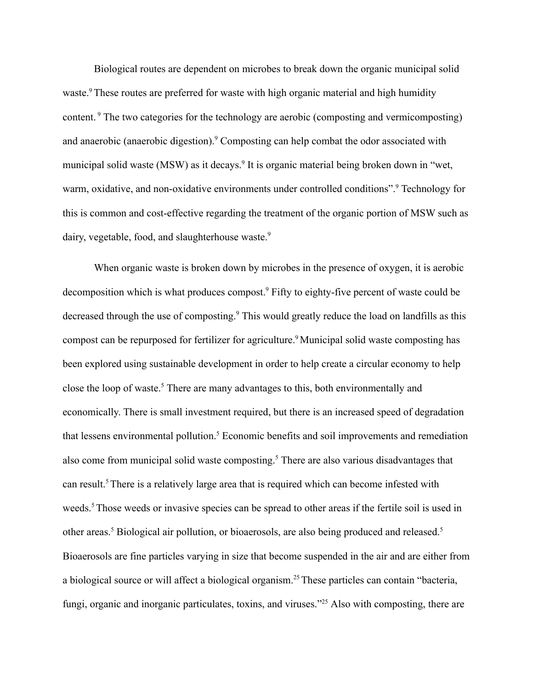Biological routes are dependent on microbes to break down the organic municipal solid waste.<sup>9</sup> These routes are preferred for waste with high organic material and high humidity content.<sup>9</sup> The two categories for the technology are aerobic (composting and vermicomposting) and anaerobic (anaerobic digestion).<sup>9</sup> Composting can help combat the odor associated with municipal solid waste (MSW) as it decays.<sup>9</sup> It is organic material being broken down in "wet, warm, oxidative, and non-oxidative environments under controlled conditions".<sup>9</sup> Technology for this is common and cost-effective regarding the treatment of the organic portion of MSW such as dairy, vegetable, food, and slaughterhouse waste.<sup>9</sup>

When organic waste is broken down by microbes in the presence of oxygen, it is aerobic decomposition which is what produces compost.<sup>9</sup> Fifty to eighty-five percent of waste could be decreased through the use of composting.<sup>9</sup> This would greatly reduce the load on landfills as this compost can be repurposed for fertilizer for agriculture.<sup>9</sup> Municipal solid waste composting has been explored using sustainable development in order to help create a circular economy to help close the loop of waste.<sup>5</sup> There are many advantages to this, both environmentally and economically. There is small investment required, but there is an increased speed of degradation that lessens environmental pollution.<sup>5</sup> Economic benefits and soil improvements and remediation also come from municipal solid waste composting.<sup>5</sup> There are also various disadvantages that can result.<sup>5</sup> There is a relatively large area that is required which can become infested with weeds.<sup>5</sup> Those weeds or invasive species can be spread to other areas if the fertile soil is used in other areas.<sup>5</sup> Biological air pollution, or bioaerosols, are also being produced and released.<sup>5</sup> Bioaerosols are fine particles varying in size that become suspended in the air and are either from a biological source or will affect a biological organism.<sup>25</sup>These particles can contain "bacteria, fungi, organic and inorganic particulates, toxins, and viruses.<sup>225</sup> Also with composting, there are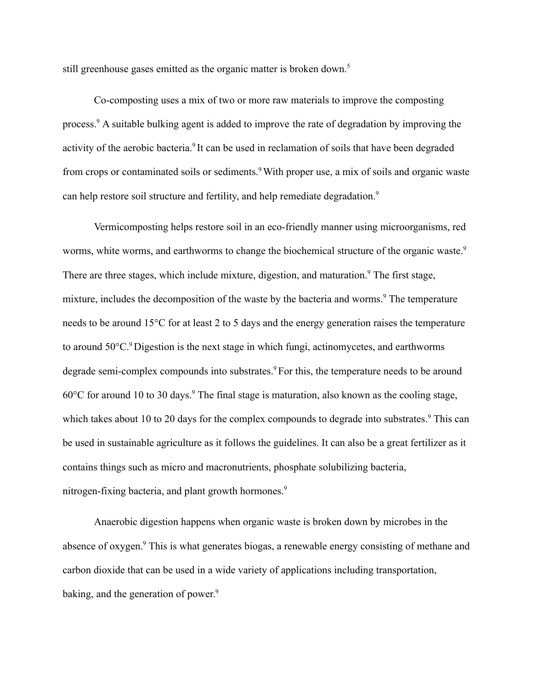still greenhouse gases emitted as the organic matter is broken down.<sup>5</sup>

Co-composting uses a mix of two or more raw materials to improve the composting process.<sup>9</sup> A suitable bulking agent is added to improve the rate of degradation by improving the activity of the aerobic bacteria.<sup>9</sup> It can be used in reclamation of soils that have been degraded from crops or contaminated soils or sediments.<sup>9</sup> With proper use, a mix of soils and organic waste can help restore soil structure and fertility, and help remediate degradation.<sup>9</sup>

Vermicomposting helps restore soil in an eco-friendly manner using microorganisms, red worms, white worms, and earthworms to change the biochemical structure of the organic waste.<sup>9</sup> There are three stages, which include mixture, digestion, and maturation.<sup>9</sup> The first stage, mixture, includes the decomposition of the waste by the bacteria and worms.<sup>9</sup> The temperature needs to be around 15°C for at least 2 to 5 days and the energy generation raises the temperature to around  $50^{\circ}$ C.<sup>9</sup> Digestion is the next stage in which fungi, actinomycetes, and earthworms degrade semi-complex compounds into substrates.<sup>9</sup> For this, the temperature needs to be around  $60^{\circ}$ C for around 10 to 30 days.<sup>9</sup> The final stage is maturation, also known as the cooling stage, which takes about 10 to 20 days for the complex compounds to degrade into substrates.<sup>9</sup> This can be used in sustainable agriculture as it follows the guidelines. It can also be a great fertilizer as it contains things such as micro and macronutrients, phosphate solubilizing bacteria, nitrogen-fixing bacteria, and plant growth hormones.<sup>9</sup>

Anaerobic digestion happens when organic waste is broken down by microbes in the absence of oxygen.<sup>9</sup> This is what generates biogas, a renewable energy consisting of methane and carbon dioxide that can be used in a wide variety of applications including transportation, baking, and the generation of power.<sup>9</sup>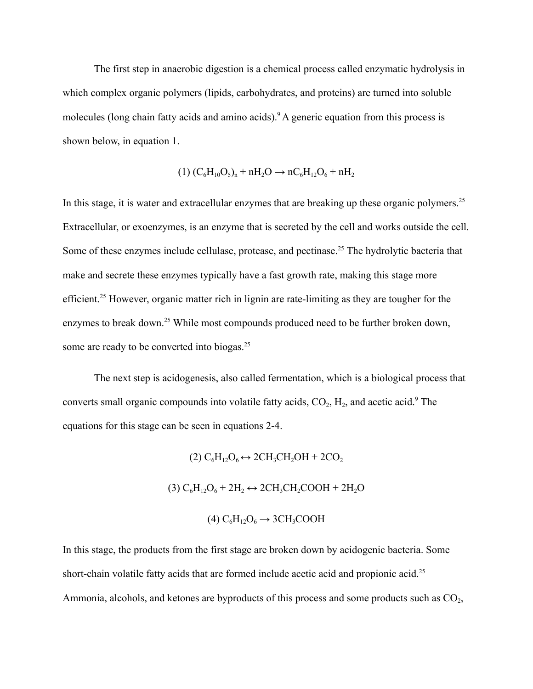The first step in anaerobic digestion is a chemical process called enzymatic hydrolysis in which complex organic polymers (lipids, carbohydrates, and proteins) are turned into soluble molecules (long chain fatty acids and amino acids).<sup>9</sup> A generic equation from this process is shown below, in equation 1.

$$
(1) (C_6H_{10}O_5)_n + nH_2O \rightarrow nC_6H_{12}O_6 + nH_2
$$

In this stage, it is water and extracellular enzymes that are breaking up these organic polymers.<sup>25</sup> Extracellular, or exoenzymes, is an enzyme that is secreted by the cell and works outside the cell. Some of these enzymes include cellulase, protease, and pectinase.<sup>25</sup> The hydrolytic bacteria that make and secrete these enzymes typically have a fast growth rate, making this stage more efficient.<sup>25</sup> However, organic matter rich in lignin are rate-limiting as they are tougher for the enzymes to break down.<sup>25</sup> While most compounds produced need to be further broken down, some are ready to be converted into biogas.<sup>25</sup>

The next step is acidogenesis, also called fermentation, which is a biological process that converts small organic compounds into volatile fatty acids,  $CO_2$ ,  $H_2$ , and acetic acid.<sup>9</sup> The equations for this stage can be seen in equations 2-4.

(2) 
$$
C_6H_{12}O_6 \leftrightarrow 2CH_3CH_2OH + 2CO_2
$$
  
(3)  $C_6H_{12}O_6 + 2H_2 \leftrightarrow 2CH_3CH_2COOH + 2H_2O$   
(4)  $C_6H_{12}O_6 \rightarrow 3CH_3COOH$ 

In this stage, the products from the first stage are broken down by acidogenic bacteria. Some short-chain volatile fatty acids that are formed include acetic acid and propionic acid.<sup>25</sup> Ammonia, alcohols, and ketones are byproducts of this process and some products such as  $CO<sub>2</sub>$ ,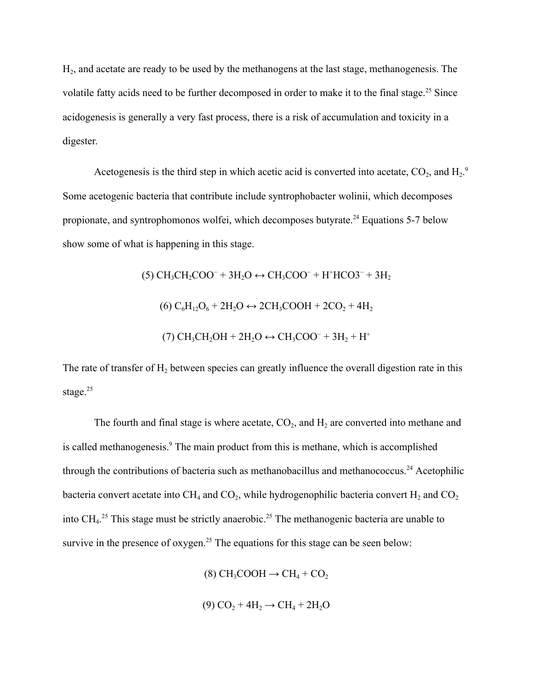H<sup>2</sup> , and acetate are ready to be used by the methanogens at the last stage, methanogenesis. The volatile fatty acids need to be further decomposed in order to make it to the final stage.<sup>25</sup> Since acidogenesis is generally a very fast process, there is a risk of accumulation and toxicity in a digester.

Acetogenesis is the third step in which acetic acid is converted into acetate,  $CO_2$ , and  $H_2$ <sup>9</sup> Some acetogenic bacteria that contribute include syntrophobacter wolinii, which decomposes propionate, and syntrophomonos wolfei, which decomposes butyrate.<sup>24</sup> Equations 5-7 below show some of what is happening in this stage.

(5) CH3CH2COO<sup>−</sup> + 3H2O ↔ CH3COO<sup>−</sup> + H<sup>+</sup>HCO3<sup>−</sup> + 3H<sup>2</sup> (6) C6H12O<sup>6</sup> + 2H2O ↔ 2CH3COOH + 2CO<sup>2</sup> + 4H<sup>2</sup> (7) CH3CH2OH + 2H2O ↔ CH3COO<sup>−</sup> + 3H<sup>2</sup> + H<sup>+</sup>

The rate of transfer of  $H_2$  between species can greatly influence the overall digestion rate in this stage. $25$ 

The fourth and final stage is where acetate,  $CO<sub>2</sub>$ , and  $H<sub>2</sub>$  are converted into methane and is called methanogenesis.<sup>9</sup> The main product from this is methane, which is accomplished through the contributions of bacteria such as methanobacillus and methanococcus.<sup>24</sup> Acetophilic bacteria convert acetate into CH<sub>4</sub> and CO<sub>2</sub>, while hydrogenophilic bacteria convert H<sub>2</sub> and CO<sub>2</sub> into  $CH_4$ <sup>25</sup> This stage must be strictly anaerobic.<sup>25</sup> The methanogenic bacteria are unable to survive in the presence of oxygen.<sup>25</sup> The equations for this stage can be seen below:

(8) CH<sub>3</sub>COOH 
$$
\rightarrow
$$
 CH<sub>4</sub> + CO<sub>2</sub>  
(9) CO<sub>2</sub> + 4H<sub>2</sub>  $\rightarrow$  CH<sub>4</sub> + 2H<sub>2</sub>O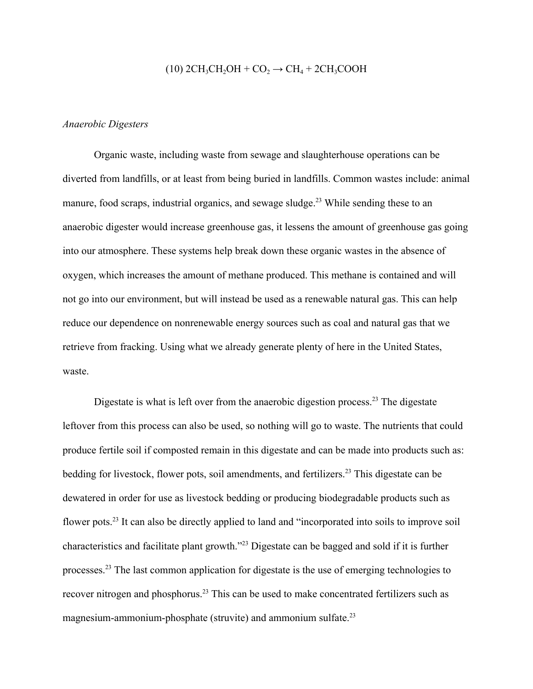# $(10)$  2CH<sub>3</sub>CH<sub>2</sub>OH + CO<sub>2</sub>  $\rightarrow$  CH<sub>4</sub> + 2CH<sub>3</sub>COOH

#### *Anaerobic Digesters*

Organic waste, including waste from sewage and slaughterhouse operations can be diverted from landfills, or at least from being buried in landfills. Common wastes include: animal manure, food scraps, industrial organics, and sewage sludge.<sup>23</sup> While sending these to an anaerobic digester would increase greenhouse gas, it lessens the amount of greenhouse gas going into our atmosphere. These systems help break down these organic wastes in the absence of oxygen, which increases the amount of methane produced. This methane is contained and will not go into our environment, but will instead be used as a renewable natural gas. This can help reduce our dependence on nonrenewable energy sources such as coal and natural gas that we retrieve from fracking. Using what we already generate plenty of here in the United States, waste.

Digestate is what is left over from the anaerobic digestion process.<sup>23</sup> The digestate leftover from this process can also be used, so nothing will go to waste. The nutrients that could produce fertile soil if composted remain in this digestate and can be made into products such as: bedding for livestock, flower pots, soil amendments, and fertilizers.<sup>23</sup> This digestate can be dewatered in order for use as livestock bedding or producing biodegradable products such as flower pots.<sup>23</sup> It can also be directly applied to land and "incorporated into soils to improve soil characteristics and facilitate plant growth."<sup>23</sup> Digestate can be bagged and sold if it is further processes.<sup>23</sup> The last common application for digestate is the use of emerging technologies to recover nitrogen and phosphorus.<sup>23</sup> This can be used to make concentrated fertilizers such as magnesium-ammonium-phosphate (struvite) and ammonium sulfate.<sup>23</sup>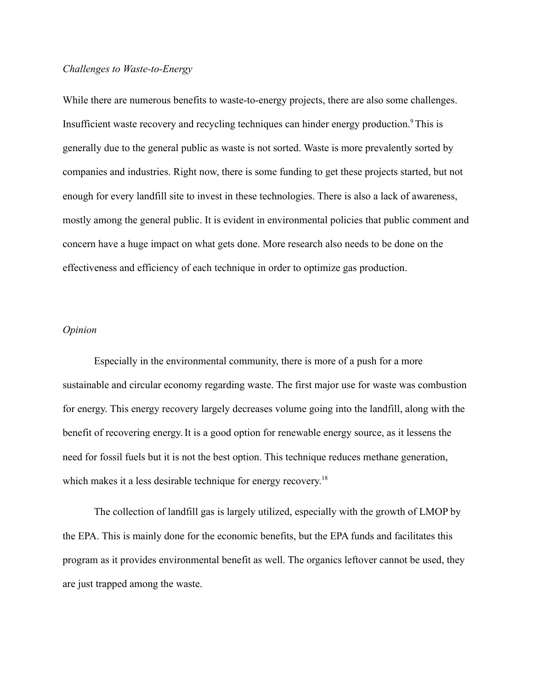#### *Challenges to Waste-to-Energy*

While there are numerous benefits to waste-to-energy projects, there are also some challenges. Insufficient waste recovery and recycling techniques can hinder energy production.<sup>9</sup>This is generally due to the general public as waste is not sorted. Waste is more prevalently sorted by companies and industries. Right now, there is some funding to get these projects started, but not enough for every landfill site to invest in these technologies. There is also a lack of awareness, mostly among the general public. It is evident in environmental policies that public comment and concern have a huge impact on what gets done. More research also needs to be done on the effectiveness and efficiency of each technique in order to optimize gas production.

#### *Opinion*

Especially in the environmental community, there is more of a push for a more sustainable and circular economy regarding waste. The first major use for waste was combustion for energy. This energy recovery largely decreases volume going into the landfill, along with the benefit of recovering energy.It is a good option for renewable energy source, as it lessens the need for fossil fuels but it is not the best option. This technique reduces methane generation, which makes it a less desirable technique for energy recovery.<sup>18</sup>

The collection of landfill gas is largely utilized, especially with the growth of LMOP by the EPA. This is mainly done for the economic benefits, but the EPA funds and facilitates this program as it provides environmental benefit as well. The organics leftover cannot be used, they are just trapped among the waste.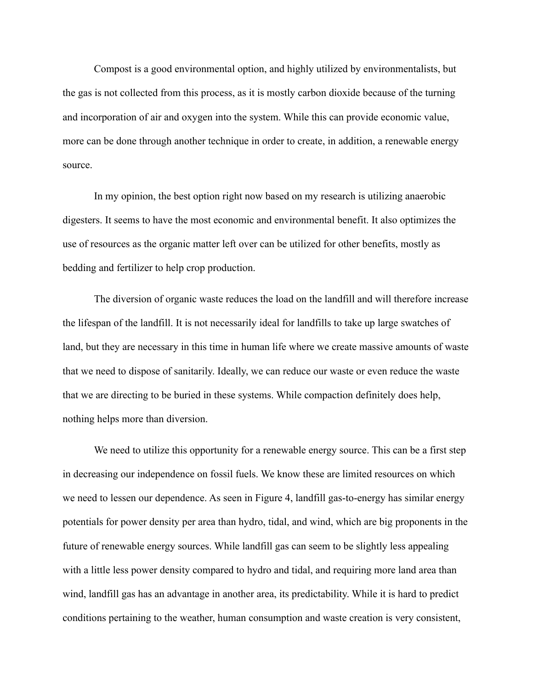Compost is a good environmental option, and highly utilized by environmentalists, but the gas is not collected from this process, as it is mostly carbon dioxide because of the turning and incorporation of air and oxygen into the system. While this can provide economic value, more can be done through another technique in order to create, in addition, a renewable energy source.

In my opinion, the best option right now based on my research is utilizing anaerobic digesters. It seems to have the most economic and environmental benefit. It also optimizes the use of resources as the organic matter left over can be utilized for other benefits, mostly as bedding and fertilizer to help crop production.

The diversion of organic waste reduces the load on the landfill and will therefore increase the lifespan of the landfill. It is not necessarily ideal for landfills to take up large swatches of land, but they are necessary in this time in human life where we create massive amounts of waste that we need to dispose of sanitarily. Ideally, we can reduce our waste or even reduce the waste that we are directing to be buried in these systems. While compaction definitely does help, nothing helps more than diversion.

We need to utilize this opportunity for a renewable energy source. This can be a first step in decreasing our independence on fossil fuels. We know these are limited resources on which we need to lessen our dependence. As seen in Figure 4, landfill gas-to-energy has similar energy potentials for power density per area than hydro, tidal, and wind, which are big proponents in the future of renewable energy sources. While landfill gas can seem to be slightly less appealing with a little less power density compared to hydro and tidal, and requiring more land area than wind, landfill gas has an advantage in another area, its predictability. While it is hard to predict conditions pertaining to the weather, human consumption and waste creation is very consistent,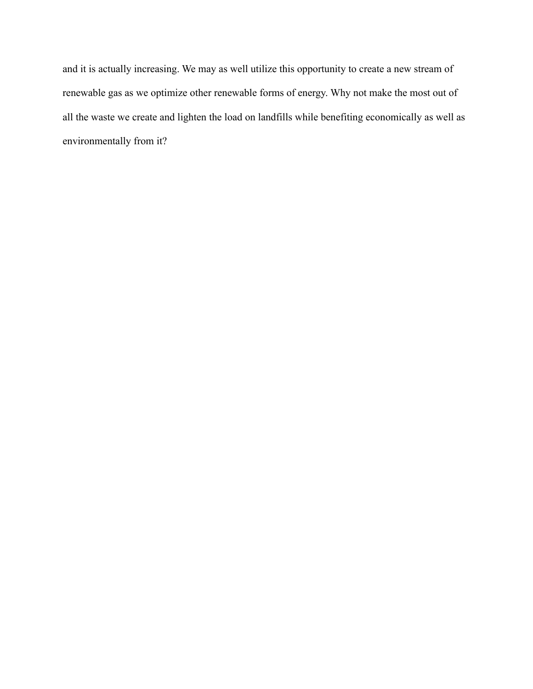and it is actually increasing. We may as well utilize this opportunity to create a new stream of renewable gas as we optimize other renewable forms of energy. Why not make the most out of all the waste we create and lighten the load on landfills while benefiting economically as well as environmentally from it?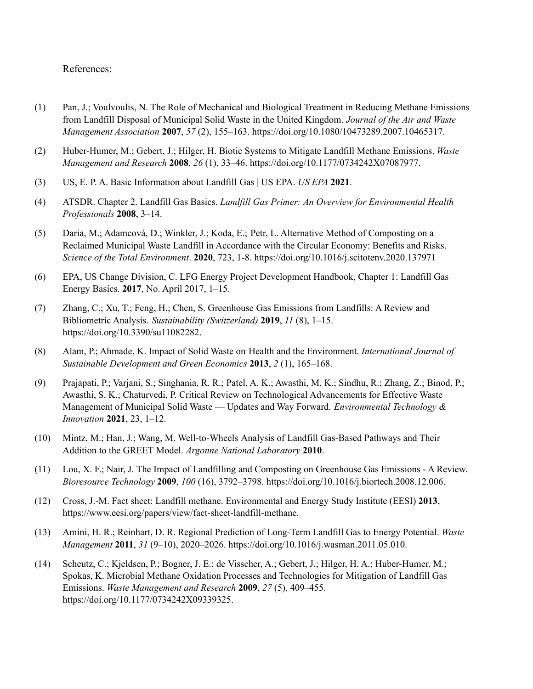#### References:

- (1) Pan, J.; Voulvoulis, N. The Role of Mechanical and Biological Treatment in Reducing Methane Emissions from Landfill Disposal of Municipal Solid Waste in the United Kingdom. *Journal of the Air and Waste Management Association* **2007**, *57* (2), 155–163. https://doi.org/10.1080/10473289.2007.10465317.
- (2) Huber-Humer, M.; Gebert, J.; Hilger, H. Biotic Systems to Mitigate Landfill Methane Emissions. *Waste Management and Research* **2008**, *26* (1), 33–46. https://doi.org/10.1177/0734242X07087977.
- (3) US, E. P. A. Basic Information about Landfill Gas | US EPA. *US EPA* **2021**.
- (4) ATSDR. Chapter 2. Landfill Gas Basics. *Landfill Gas Primer: An Overview for Environmental Health Professionals* **2008**, 3–14.
- (5) Daria, M.; Adamcová, D.; Winkler, J.; Koda, E.; Petr, L. Alternative Method of Composting on a Reclaimed Municipal Waste Landfill in Accordance with the Circular Economy: Benefits and Risks. *Science of the Total Environment*. **2020**, 723, 1-8. https://doi.org/10.1016/j.scitotenv.2020.137971
- (6) EPA, US Change Division, C. LFG Energy Project Development Handbook, Chapter 1: Landfill Gas Energy Basics. **2017**, No. April 2017, 1–15.
- (7) Zhang, C.; Xu, T.; Feng, H.; Chen, S. Greenhouse Gas Emissions from Landfills: A Review and Bibliometric Analysis. *Sustainability (Switzerland)* **2019**, *11* (8), 1–15. https://doi.org/10.3390/su11082282.
- (8) Alam, P.; Ahmade, K. Impact of Solid Waste on Health and the Environment. *International Journal of Sustainable Development and Green Economics* **2013**, *2* (1), 165–168.
- (9) Prajapati, P.; Varjani, S.; Singhania, R. R.; Patel, A. K.; Awasthi, M. K.; Sindhu, R.; Zhang, Z.; Binod, P.; Awasthi, S. K.; Chaturvedi, P. Critical Review on Technological Advancements for Effective Waste Management of Municipal Solid Waste — Updates and Way Forward. *Environmental Technology & Innovation* **2021**, 23, 1–12.
- (10) Mintz, M.; Han, J.; Wang, M. Well-to-Wheels Analysis of Landfill Gas-Based Pathways and Their Addition to the GREET Model. *Argonne National Laboratory* **2010**.
- (11) Lou, X. F.; Nair, J. The Impact of Landfilling and Composting on Greenhouse Gas Emissions A Review. *Bioresource Technology* **2009**, *100* (16), 3792–3798. https://doi.org/10.1016/j.biortech.2008.12.006.
- (12) Cross, J.-M. Fact sheet: Landfill methane. Environmental and Energy Study Institute (EESI) **2013**, https://www.eesi.org/papers/view/fact-sheet-landfill-methane.
- (13) Amini, H. R.; Reinhart, D. R. Regional Prediction of Long-Term Landfill Gas to Energy Potential. *Waste Management* **2011**, *31* (9–10), 2020–2026. https://doi.org/10.1016/j.wasman.2011.05.010.
- (14) Scheutz, C.; Kjeldsen, P.; Bogner, J. E.; de Visscher, A.; Gebert, J.; Hilger, H. A.; Huber-Humer, M.; Spokas, K. Microbial Methane Oxidation Processes and Technologies for Mitigation of Landfill Gas Emissions. *Waste Management and Research* **2009**, *27* (5), 409–455. https://doi.org/10.1177/0734242X09339325.